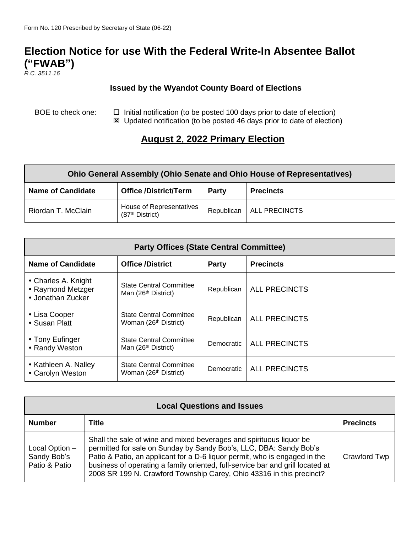## **Election Notice for use With the Federal Write-In Absentee Ballot ("FWAB")**

*R.C. 3511.16*

## **Issued by the Wyandot County Board of Elections**

BOE to check one:  $\Box$  Initial notification (to be posted 100 days prior to date of election)  $\boxtimes$  Updated notification (to be posted 46 days prior to date of election)

## **August 2, 2022 Primary Election**

| <b>Ohio General Assembly (Ohio Senate and Ohio House of Representatives)</b> |                                                         |            |                      |  |  |  |
|------------------------------------------------------------------------------|---------------------------------------------------------|------------|----------------------|--|--|--|
| <b>Name of Candidate</b>                                                     | <b>Office /District/Term</b>                            | Party      | <b>Precincts</b>     |  |  |  |
| Riordan T. McClain                                                           | House of Representatives<br>(87 <sup>th</sup> District) | Republican | <b>ALL PRECINCTS</b> |  |  |  |

| <b>Party Offices (State Central Committee)</b>                |                                                                     |            |                      |  |  |  |
|---------------------------------------------------------------|---------------------------------------------------------------------|------------|----------------------|--|--|--|
| <b>Name of Candidate</b>                                      | <b>Office /District</b>                                             | Party      | <b>Precincts</b>     |  |  |  |
| • Charles A. Knight<br>• Raymond Metzger<br>• Jonathan Zucker | <b>State Central Committee</b><br>Man (26 <sup>th</sup> District)   | Republican | <b>ALL PRECINCTS</b> |  |  |  |
| • Lisa Cooper<br>• Susan Platt                                | <b>State Central Committee</b><br>Woman (26 <sup>th</sup> District) | Republican | <b>ALL PRECINCTS</b> |  |  |  |
| • Tony Eufinger<br>• Randy Weston                             | <b>State Central Committee</b><br>Man (26 <sup>th</sup> District)   | Democratic | <b>ALL PRECINCTS</b> |  |  |  |
| • Kathleen A. Nalley<br>• Carolyn Weston                      | <b>State Central Committee</b><br>Woman (26 <sup>th</sup> District) | Democratic | <b>ALL PRECINCTS</b> |  |  |  |

| <b>Local Questions and Issues</b>              |                                                                                                                                                                                                                                                                                                                                                                                   |                  |  |  |
|------------------------------------------------|-----------------------------------------------------------------------------------------------------------------------------------------------------------------------------------------------------------------------------------------------------------------------------------------------------------------------------------------------------------------------------------|------------------|--|--|
| <b>Number</b>                                  | Title                                                                                                                                                                                                                                                                                                                                                                             | <b>Precincts</b> |  |  |
| Local Option -<br>Sandy Bob's<br>Patio & Patio | Shall the sale of wine and mixed beverages and spirituous liquor be<br>permitted for sale on Sunday by Sandy Bob's, LLC, DBA: Sandy Bob's<br>Patio & Patio, an applicant for a D-6 liquor permit, who is engaged in the<br>business of operating a family oriented, full-service bar and grill located at<br>2008 SR 199 N. Crawford Township Carey, Ohio 43316 in this precinct? | Crawford Twp     |  |  |